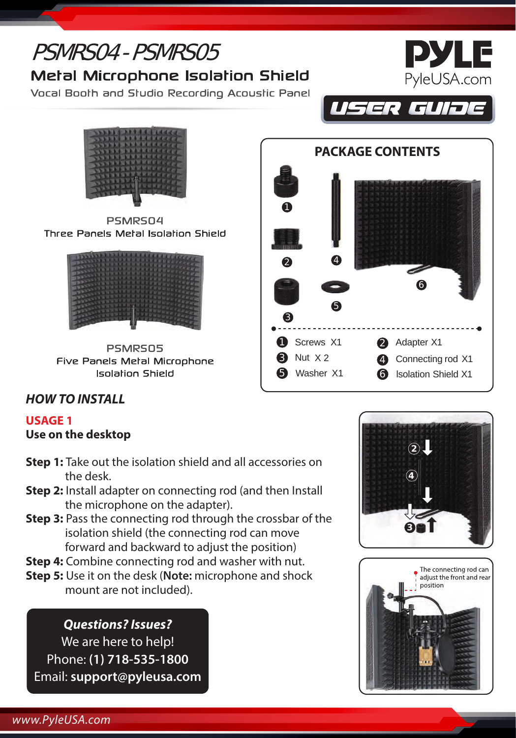# **PYLE** PSMRS04 - PSMRS05 PyleUSA.com **Metal Microphone Isolation Shield** Vocal Booth and Studio Recording Acoustic Panel USER GUIJE **PACKAGE CONTENTS**

0

 $\mathbf Q$ 

3

5

**1** Screws X1 **3** Nut X 2 Washer X1

5

4

PSMRS04 Three Panels Metal Isolation Shield



**PSMRS05** Five Panels Metal Microphone **Isolation Shield** 

## *HOW TO INSTALL*

#### **USAGE 1 Use on the desktop**

- **Step 1:** Take out the isolation shield and all accessories on the desk.
- **Step 2:** Install adapter on connecting rod (and then Install the microphone on the adapter).
- **Step 3:** Pass the connecting rod through the crossbar of the isolation shield (the connecting rod can move forward and backward to adjust the position)
- **Step 4:** Combine connecting rod and washer with nut.
- **Step 5:** Use it on the desk (**Note:** microphone and shock mount are not included).

### *Questions? Issues?*

We are here to help! Phone: **(1) 718-535-1800** Email: **support@pyleusa.com**



6

2 Adapter X1 4 Connecting rod X1 6 lsolation Shield X1